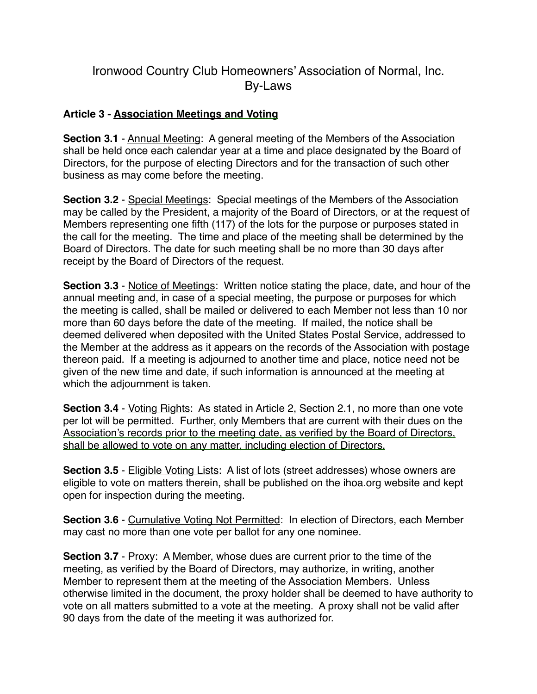## Ironwood Country Club Homeowners' Association of Normal, Inc. By-Laws

## **Article 3 - Association Meetings and Voting**

**Section 3.1** - Annual Meeting: A general meeting of the Members of the Association shall be held once each calendar year at a time and place designated by the Board of Directors, for the purpose of electing Directors and for the transaction of such other business as may come before the meeting.

**Section 3.2** - Special Meetings: Special meetings of the Members of the Association may be called by the President, a majority of the Board of Directors, or at the request of Members representing one fifth (117) of the lots for the purpose or purposes stated in the call for the meeting. The time and place of the meeting shall be determined by the Board of Directors. The date for such meeting shall be no more than 30 days after receipt by the Board of Directors of the request.

**Section 3.3** - Notice of Meetings: Written notice stating the place, date, and hour of the annual meeting and, in case of a special meeting, the purpose or purposes for which the meeting is called, shall be mailed or delivered to each Member not less than 10 nor more than 60 days before the date of the meeting. If mailed, the notice shall be deemed delivered when deposited with the United States Postal Service, addressed to the Member at the address as it appears on the records of the Association with postage thereon paid. If a meeting is adjourned to another time and place, notice need not be given of the new time and date, if such information is announced at the meeting at which the adjournment is taken.

**Section 3.4** - Voting Rights: As stated in Article 2, Section 2.1, no more than one vote per lot will be permitted. Further, only Members that are current with their dues on the Association's records prior to the meeting date, as verified by the Board of Directors, shall be allowed to vote on any matter, including election of Directors.

**Section 3.5** - Eligible Voting Lists: A list of lots (street addresses) whose owners are eligible to vote on matters therein, shall be published on the ihoa.org website and kept open for inspection during the meeting.

**Section 3.6** - Cumulative Voting Not Permitted: In election of Directors, each Member may cast no more than one vote per ballot for any one nominee.

**Section 3.7** - Proxy: A Member, whose dues are current prior to the time of the meeting, as verified by the Board of Directors, may authorize, in writing, another Member to represent them at the meeting of the Association Members. Unless otherwise limited in the document, the proxy holder shall be deemed to have authority to vote on all matters submitted to a vote at the meeting. A proxy shall not be valid after 90 days from the date of the meeting it was authorized for.